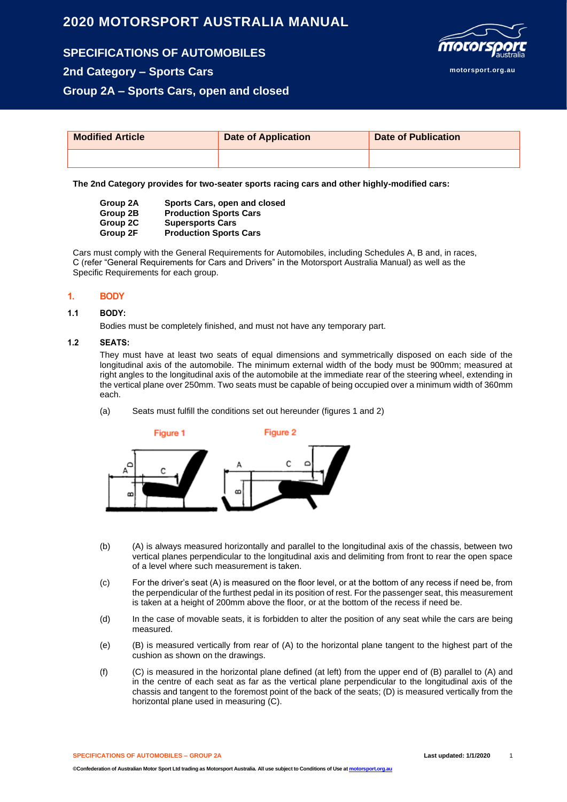# **2020 MOTORSPORT AUSTRALIA MANUAL**

**SPECIFICATIONS OF AUTOMOBILES 2nd Category – Sports Cars**

**motorsport.org.au**

**Group 2A – Sports Cars, open and closed**

| <b>Modified Article</b> | <b>Date of Application</b> | <b>Date of Publication</b> |
|-------------------------|----------------------------|----------------------------|
|                         |                            |                            |

**The 2nd Category provides for two-seater sports racing cars and other highly-modified cars:**

| Group 2A | Sports Cars, open and closed  |
|----------|-------------------------------|
| Group 2B | <b>Production Sports Cars</b> |
| Group 2C | <b>Supersports Cars</b>       |
| Group 2F | <b>Production Sports Cars</b> |

Cars must comply with the General Requirements for Automobiles, including Schedules A, B and, in races, C (refer "General Requirements for Cars and Drivers" in the Motorsport Australia Manual) as well as the Specific Requirements for each group.

## **1. BODY**

## **1.1 BODY:**

Bodies must be completely finished, and must not have any temporary part.

## **1.2 SEATS:**

They must have at least two seats of equal dimensions and symmetrically disposed on each side of the longitudinal axis of the automobile. The minimum external width of the body must be 900mm; measured at right angles to the longitudinal axis of the automobile at the immediate rear of the steering wheel, extending in the vertical plane over 250mm. Two seats must be capable of being occupied over a minimum width of 360mm each.

## (a) Seats must fulfill the conditions set out hereunder (figures 1 and 2)



- (b) (A) is always measured horizontally and parallel to the longitudinal axis of the chassis, between two vertical planes perpendicular to the longitudinal axis and delimiting from front to rear the open space of a level where such measurement is taken.
- (c) For the driver's seat (A) is measured on the floor level, or at the bottom of any recess if need be, from the perpendicular of the furthest pedal in its position of rest. For the passenger seat, this measurement is taken at a height of 200mm above the floor, or at the bottom of the recess if need be.
- (d) In the case of movable seats, it is forbidden to alter the position of any seat while the cars are being measured.
- (e) (B) is measured vertically from rear of (A) to the horizontal plane tangent to the highest part of the cushion as shown on the drawings.
- (f) (C) is measured in the horizontal plane defined (at left) from the upper end of (B) parallel to (A) and in the centre of each seat as far as the vertical plane perpendicular to the longitudinal axis of the chassis and tangent to the foremost point of the back of the seats; (D) is measured vertically from the horizontal plane used in measuring (C).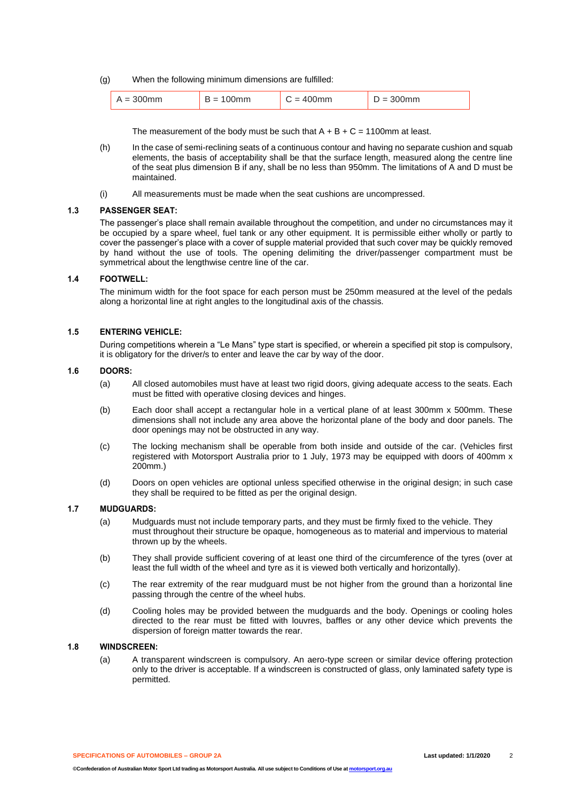(g) When the following minimum dimensions are fulfilled:

| 00mm | - | - | $\sim$ |
|------|---|---|--------|
| $=$  | - |   |        |

The measurement of the body must be such that  $A + B + C = 1100$  mm at least.

- (h) In the case of semi-reclining seats of a continuous contour and having no separate cushion and squab elements, the basis of acceptability shall be that the surface length, measured along the centre line of the seat plus dimension B if any, shall be no less than 950mm. The limitations of A and D must be maintained.
- (i) All measurements must be made when the seat cushions are uncompressed.

## **1.3 PASSENGER SEAT:**

The passenger's place shall remain available throughout the competition, and under no circumstances may it be occupied by a spare wheel, fuel tank or any other equipment. It is permissible either wholly or partly to cover the passenger's place with a cover of supple material provided that such cover may be quickly removed by hand without the use of tools. The opening delimiting the driver/passenger compartment must be symmetrical about the lengthwise centre line of the car.

# **1.4 FOOTWELL:**

The minimum width for the foot space for each person must be 250mm measured at the level of the pedals along a horizontal line at right angles to the longitudinal axis of the chassis.

## **1.5 ENTERING VEHICLE:**

During competitions wherein a "Le Mans" type start is specified, or wherein a specified pit stop is compulsory, it is obligatory for the driver/s to enter and leave the car by way of the door.

## **1.6 DOORS:**

- (a) All closed automobiles must have at least two rigid doors, giving adequate access to the seats. Each must be fitted with operative closing devices and hinges.
- (b) Each door shall accept a rectangular hole in a vertical plane of at least 300mm x 500mm. These dimensions shall not include any area above the horizontal plane of the body and door panels. The door openings may not be obstructed in any way.
- (c) The locking mechanism shall be operable from both inside and outside of the car. (Vehicles first registered with Motorsport Australia prior to 1 July, 1973 may be equipped with doors of 400mm x 200mm.)
- (d) Doors on open vehicles are optional unless specified otherwise in the original design; in such case they shall be required to be fitted as per the original design.

# **1.7 MUDGUARDS:**

- (a) Mudguards must not include temporary parts, and they must be firmly fixed to the vehicle. They must throughout their structure be opaque, homogeneous as to material and impervious to material thrown up by the wheels.
- (b) They shall provide sufficient covering of at least one third of the circumference of the tyres (over at least the full width of the wheel and tyre as it is viewed both vertically and horizontally).
- (c) The rear extremity of the rear mudguard must be not higher from the ground than a horizontal line passing through the centre of the wheel hubs.
- (d) Cooling holes may be provided between the mudguards and the body. Openings or cooling holes directed to the rear must be fitted with louvres, baffles or any other device which prevents the dispersion of foreign matter towards the rear.

## **1.8 WINDSCREEN:**

(a) A transparent windscreen is compulsory. An aero-type screen or similar device offering protection only to the driver is acceptable. If a windscreen is constructed of glass, only laminated safety type is permitted.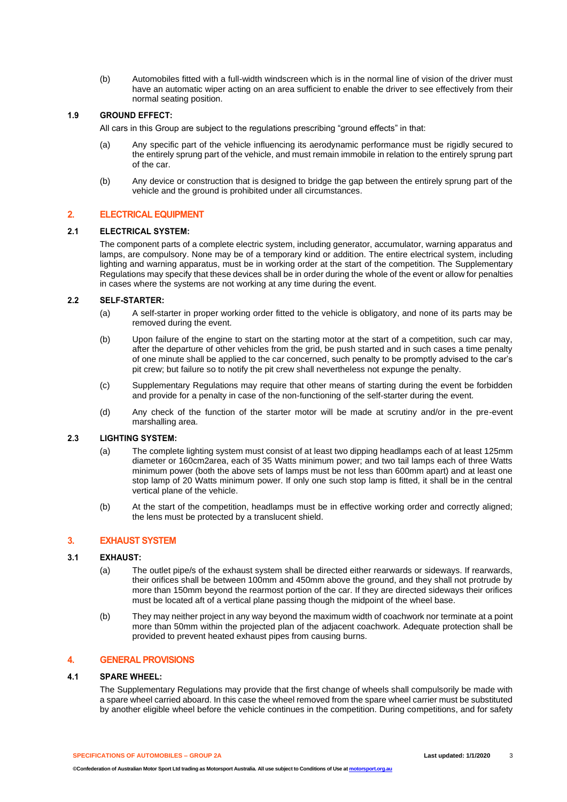(b) Automobiles fitted with a full-width windscreen which is in the normal line of vision of the driver must have an automatic wiper acting on an area sufficient to enable the driver to see effectively from their normal seating position.

# **1.9 GROUND EFFECT:**

All cars in this Group are subject to the regulations prescribing "ground effects" in that:

- (a) Any specific part of the vehicle influencing its aerodynamic performance must be rigidly secured to the entirely sprung part of the vehicle, and must remain immobile in relation to the entirely sprung part of the car.
- (b) Any device or construction that is designed to bridge the gap between the entirely sprung part of the vehicle and the ground is prohibited under all circumstances.

# **2. ELECTRICAL EQUIPMENT**

# **2.1 ELECTRICAL SYSTEM:**

The component parts of a complete electric system, including generator, accumulator, warning apparatus and lamps, are compulsory. None may be of a temporary kind or addition. The entire electrical system, including lighting and warning apparatus, must be in working order at the start of the competition. The Supplementary Regulations may specify that these devices shall be in order during the whole of the event or allow for penalties in cases where the systems are not working at any time during the event.

## **2.2 SELF-STARTER:**

- (a) A self-starter in proper working order fitted to the vehicle is obligatory, and none of its parts may be removed during the event.
- (b) Upon failure of the engine to start on the starting motor at the start of a competition, such car may, after the departure of other vehicles from the grid, be push started and in such cases a time penalty of one minute shall be applied to the car concerned, such penalty to be promptly advised to the car's pit crew; but failure so to notify the pit crew shall nevertheless not expunge the penalty.
- (c) Supplementary Regulations may require that other means of starting during the event be forbidden and provide for a penalty in case of the non-functioning of the self-starter during the event.
- (d) Any check of the function of the starter motor will be made at scrutiny and/or in the pre-event marshalling area.

## **2.3 LIGHTING SYSTEM:**

- (a) The complete lighting system must consist of at least two dipping headlamps each of at least 125mm diameter or 160cm2area, each of 35 Watts minimum power; and two tail lamps each of three Watts minimum power (both the above sets of lamps must be not less than 600mm apart) and at least one stop lamp of 20 Watts minimum power. If only one such stop lamp is fitted, it shall be in the central vertical plane of the vehicle.
- (b) At the start of the competition, headlamps must be in effective working order and correctly aligned; the lens must be protected by a translucent shield.

# **3. EXHAUST SYSTEM**

#### **3.1 EXHAUST:**

- (a) The outlet pipe/s of the exhaust system shall be directed either rearwards or sideways. If rearwards, their orifices shall be between 100mm and 450mm above the ground, and they shall not protrude by more than 150mm beyond the rearmost portion of the car. If they are directed sideways their orifices must be located aft of a vertical plane passing though the midpoint of the wheel base.
- (b) They may neither project in any way beyond the maximum width of coachwork nor terminate at a point more than 50mm within the projected plan of the adjacent coachwork. Adequate protection shall be provided to prevent heated exhaust pipes from causing burns.

#### **4. GENERAL PROVISIONS**

## **4.1 SPARE WHEEL:**

The Supplementary Regulations may provide that the first change of wheels shall compulsorily be made with a spare wheel carried aboard. In this case the wheel removed from the spare wheel carrier must be substituted by another eligible wheel before the vehicle continues in the competition. During competitions, and for safety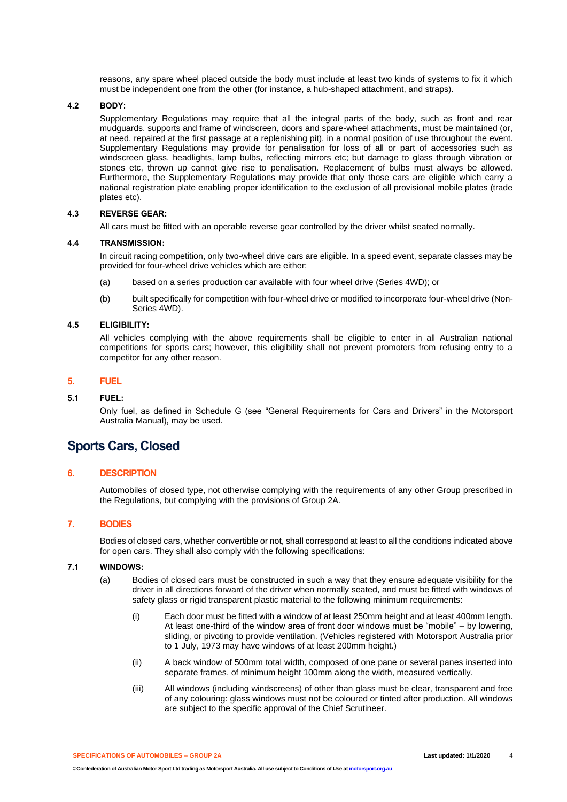reasons, any spare wheel placed outside the body must include at least two kinds of systems to fix it which must be independent one from the other (for instance, a hub-shaped attachment, and straps).

## **4.2 BODY:**

Supplementary Regulations may require that all the integral parts of the body, such as front and rear mudguards, supports and frame of windscreen, doors and spare-wheel attachments, must be maintained (or, at need, repaired at the first passage at a replenishing pit), in a normal position of use throughout the event. Supplementary Regulations may provide for penalisation for loss of all or part of accessories such as windscreen glass, headlights, lamp bulbs, reflecting mirrors etc; but damage to glass through vibration or stones etc, thrown up cannot give rise to penalisation. Replacement of bulbs must always be allowed. Furthermore, the Supplementary Regulations may provide that only those cars are eligible which carry a national registration plate enabling proper identification to the exclusion of all provisional mobile plates (trade plates etc).

# **4.3 REVERSE GEAR:**

All cars must be fitted with an operable reverse gear controlled by the driver whilst seated normally.

#### **4.4 TRANSMISSION:**

In circuit racing competition, only two-wheel drive cars are eligible. In a speed event, separate classes may be provided for four-wheel drive vehicles which are either;

- (a) based on a series production car available with four wheel drive (Series 4WD); or
- (b) built specifically for competition with four-wheel drive or modified to incorporate four-wheel drive (Non-Series 4WD).

## **4.5 ELIGIBILITY:**

All vehicles complying with the above requirements shall be eligible to enter in all Australian national competitions for sports cars; however, this eligibility shall not prevent promoters from refusing entry to a competitor for any other reason.

# **5. FUEL**

#### **5.1 FUEL:**

Only fuel, as defined in Schedule G (see "General Requirements for Cars and Drivers" in the Motorsport Australia Manual), may be used.

# **Sports Cars, Closed**

## **6. DESCRIPTION**

Automobiles of closed type, not otherwise complying with the requirements of any other Group prescribed in the Regulations, but complying with the provisions of Group 2A.

## **7. BODIES**

Bodies of closed cars, whether convertible or not, shall correspond at least to all the conditions indicated above for open cars. They shall also comply with the following specifications:

## **7.1 WINDOWS:**

- (a) Bodies of closed cars must be constructed in such a way that they ensure adequate visibility for the driver in all directions forward of the driver when normally seated, and must be fitted with windows of safety glass or rigid transparent plastic material to the following minimum requirements:
	- (i) Each door must be fitted with a window of at least 250mm height and at least 400mm length. At least one-third of the window area of front door windows must be "mobile" – by lowering, sliding, or pivoting to provide ventilation. (Vehicles registered with Motorsport Australia prior to 1 July, 1973 may have windows of at least 200mm height.)
	- (ii) A back window of 500mm total width, composed of one pane or several panes inserted into separate frames, of minimum height 100mm along the width, measured vertically.
	- (iii) All windows (including windscreens) of other than glass must be clear, transparent and free of any colouring: glass windows must not be coloured or tinted after production. All windows are subject to the specific approval of the Chief Scrutineer.